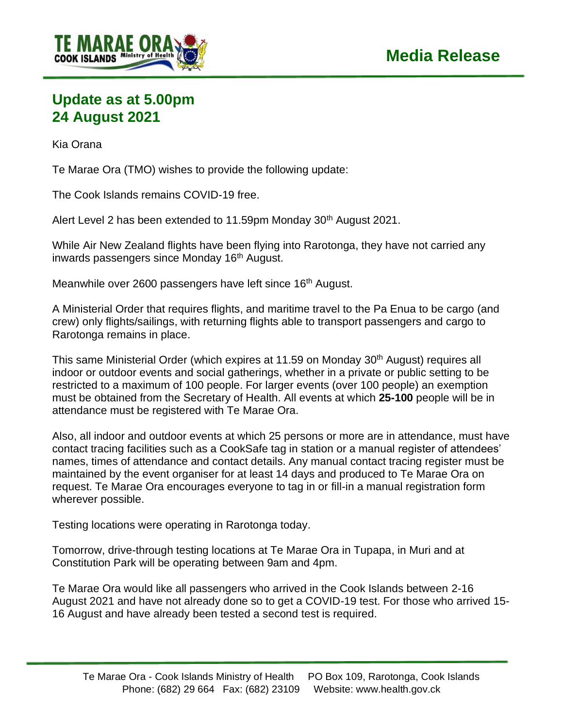

## **Update as at 5.00pm 24 August 2021**

Kia Orana

Te Marae Ora (TMO) wishes to provide the following update:

The Cook Islands remains COVID-19 free.

Alert Level 2 has been extended to 11.59pm Monday 30<sup>th</sup> August 2021.

While Air New Zealand flights have been flying into Rarotonga, they have not carried any inwards passengers since Monday 16<sup>th</sup> August.

Meanwhile over 2600 passengers have left since 16<sup>th</sup> August.

A Ministerial Order that requires flights, and maritime travel to the Pa Enua to be cargo (and crew) only flights/sailings, with returning flights able to transport passengers and cargo to Rarotonga remains in place.

This same Ministerial Order (which expires at 11.59 on Monday 30<sup>th</sup> August) requires all indoor or outdoor events and social gatherings, whether in a private or public setting to be restricted to a maximum of 100 people. For larger events (over 100 people) an exemption must be obtained from the Secretary of Health. All events at which **25-100** people will be in attendance must be registered with Te Marae Ora.

Also, all indoor and outdoor events at which 25 persons or more are in attendance, must have contact tracing facilities such as a CookSafe tag in station or a manual register of attendees' names, times of attendance and contact details. Any manual contact tracing register must be maintained by the event organiser for at least 14 days and produced to Te Marae Ora on request. Te Marae Ora encourages everyone to tag in or fill-in a manual registration form wherever possible.

Testing locations were operating in Rarotonga today.

Tomorrow, drive-through testing locations at Te Marae Ora in Tupapa, in Muri and at Constitution Park will be operating between 9am and 4pm.

Te Marae Ora would like all passengers who arrived in the Cook Islands between 2-16 August 2021 and have not already done so to get a COVID-19 test. For those who arrived 15- 16 August and have already been tested a second test is required.